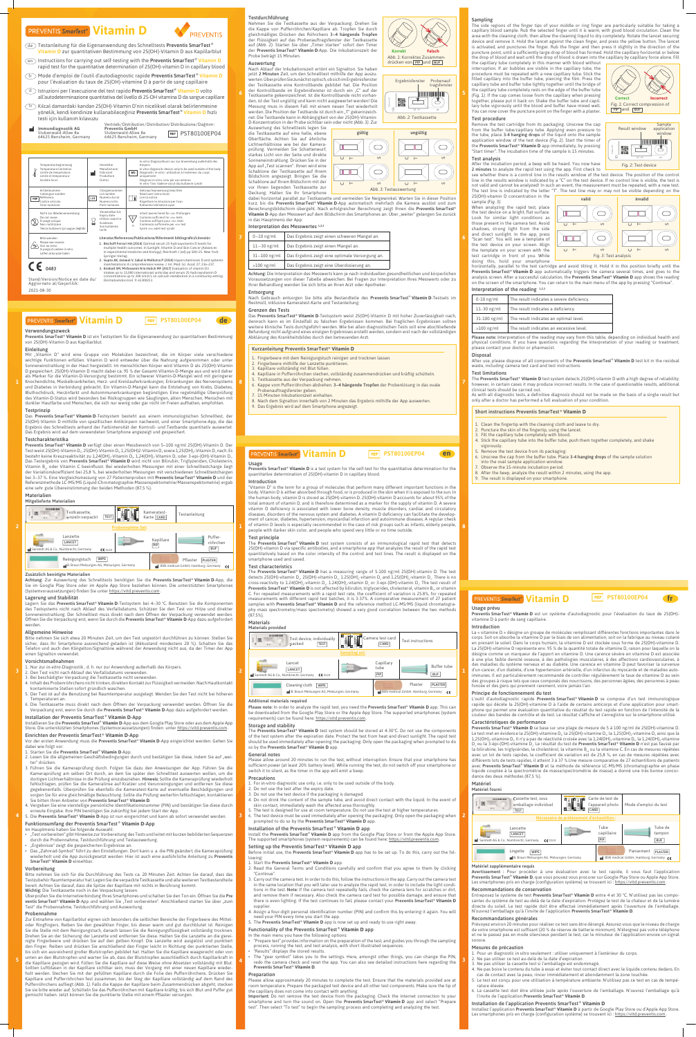#### Verwendungszweck

Preventis SmarTest® Vitamin D ist ein Testsystem für die Eigenanwendung zur quantitativen Bestimmung von 25(OH)-Vitamin D aus Kapillarblut.

REF

### Einleitung

Mit "Vitamin D" wird eine Gruppe von Molekülen bezeichnet, die im Körper viele verschiedene wichtige Funktionen erfüllen. Vitamin D wird entweder über die Nahrung aufgenommen oder unter Sonneneinstrahlung in der Haut hergestellt. Im menschlichen Körper wird Vitamin D als 25(OH)-Vitamin D gespeichert. 25(OH)-Vitamin D macht dabei ca. 95 % der Gesamt-Vitamin-D-Menge aus und wird daher als Marker für die Vitamin-D-Versorgung bestimmt. Ein schwerer Vitamin-D-Mangel wird mit geringerer Knochendichte, Muskelkrankheiten, Herz- und Kreislauferkrankungen, Erkrankungen des Nervensystems und Diabetes in Verbindung gebracht. Ein Vitamin-D-Mangel kann die Entstehung von Krebs, Diabetes, Bluthochdruck, Herzinfarkt und Autoimmunerkrankungen begünstigen. Eine regelmäßige Überprüfung des Vitamin-D-Status wird besonders bei Risikogruppen wie Säuglingen, alten Menschen, Menschen mit dunkler Hautfarbe und Menschen, die sich nur wenig oder gar nicht im Freien aufhalten, empfohlen.

Das Preventis SmarTest® Vitamin D-Testsystem besteht aus einem immunologischen Schnelltest, der 25(OH)-Vitamin D mithilfe von spezifischen Antikörpern nachweist, und einer Smartphone-App, die das Ergebnis des Schnelltests anhand der Farbintensität der Kontroll- und Testbande quantitativ auswertet. Das Ergebnis wird auf dem verwendeten Smartphone angezeigt und gespeichert.

#### Testprinzip

Preventis SmarTest<sup>®</sup> Vitamin D verfügt über einen Messbereich von 5-100 ng/ml 25(OH)-Vitamin D. Der Test weist 25(OH)-Vitamin D<sub>2</sub>, 25(OH)-Vitamin D<sub>3</sub>, 1,25(OH)2-Vitamin D<sub>2</sub> sowie 1,25(OH)<sub>2</sub>-Vitamin D<sub>3</sub> nach. Es besteht keine Kreuzreaktivität zu 1,24(OH).-Vitamin D., 1,24(OH).-Vitamin D. oder 3-epi-(OH)-Vitamin D. Das Testergebnis von Preventis SmarTest<sup>®</sup> Vitamin D wird nicht von Bilirubin, Triglyzeriden, Cholesterin, Vitamin B<sub>12</sub> oder Vitamin C beeinflusst. Bei wiederholten Messungen mit einer Schnelltestcharge liegt der Variationskoeffizient bei 25,8 %, bei wiederholten Messungen mit verschiedenen Schnelltestchargen bei 3-37 %. Eine Vergleichsmessung von 27 Patientenproben mit Preventis SmarTest<sup>®</sup> Vitamin D und der Referenzmethode LC-MS/MS (Liquid-Chromatographie-Massenspektometrie/Massenspektometrie) ergab eine sehr gute Übereinstimmung der beiden Methoden (87,5 %).

Achtung: Zur Auswertung des Schnelltests benötigen Sie die Preventis SmarTest® Vitamin D-App, die Sie im Google Play Store oder im Apple App Store beziehen können. Die unterstützten Smartphones (Systemvoraussetzungen) finden Sie unter https://vitd.preventis.com .

#### Testcharakteristika

Lagern Sie das Preventis SmarTest<sup>®</sup> Vitamin D-Testsystem bei 4-30 °C. Benutzen Sie die Komponenten des Testsystems nicht nach Ablauf des Verfallsdatums. Schützen Sie den Test vor Hitze und direkter Sonneneinstrahlung. Der Schnelltest muss direkt nach dem Öffnen der Verpackung verwendet werden. Öffnen Sie die Verpackung erst, wenn Sie durch die Preventis SmarTest® Vitamin D-App dazu aufgefordert werden.

- 2. Den Test nicht nach Ablauf des Verfallsdatums verwenden.
- 3. Bei beschädigter Verpackung die Testkassette nicht verwenden.
- 4. Inhalt des Probenröhrchens nicht trinken, direkten Kontakt zur Flüssigkeit vermeiden. Nach Hautkontakt kontaminierte Stellen sofort gründlich waschen.
- 5. Der Test ist auf die Benutzung bei Raumtemperatur ausgelegt. Wenden Sie den Test nicht bei höheren Temperaturen an.
- 6. Die Testkassette muss direkt nach dem Öffnen der Verpackung verwendet werden. Öffnen Sie die Verpackung erst, wenn Sie durch die Preventis SmarTest<sup>®</sup> Vitamin D-App dazu aufgefordert werden.

Vor der ersten Anwendung muss die Preventis SmarTest® Vitamin D-App eingerichtet werden. Gehen Sie dabei wie folgt vor:

#### Materialien Mitgelieferte Materialien

#### Zusätzlich benötigte Materialien

#### Lagerung und Stabilität

#### Allgemeine Hinweise

Bitte nehmen Sie sich etwa 20 Minuten Zeit, um den Test ungestört durchführen zu können. Stellen Sie sicher, dass Ihr Smartphone ausreichend geladen ist (Akkustand mindestens 20 %). Schalten Sie das Telefon und auch den Klingelton/Signaltöne während der Anwendung nicht aus, da der Timer der App einen Signalton verwendet.

#### Vorsichtsmaßnahmen

1. Nur zur *in-vitro*-Diagnostik , d. h. nur zur Anwendung außerhalb des Körpers.

#### Installation der Preventis SmarTest ® **Vitamin D**-App

Installieren Sie die Preventis SmarTest ® **Vitamin D**-App aus dem Google Play Store oder aus dem Apple App Store. Die unterstützten Smartphones (Systemvoraussetzungen) finden unter https://vitd.preventis.com .

# Einrichten der Preventis SmarTest ® **Vitamin D**-App

#### 1. Starten Sie die Preventis SmarTest ® **Vitamin D**-App.

- 2. Lesen Sie die allgemeinen Geschäftsbedingungen durch und bestätigen Sie diese, indem Sie auf "weiter" drücken.
- 3. Führen Sie die Kameraprüfung durch. Folgen Sie dazu den Anweisungen der App. Führen Sie die Kameraprüfung am selben Ort durch, an dem Sie später den Schnelltest auswerten wollen, um die dortigen Lichtverhältnisse in die Prüfung einzubeziehen. Hinweis: Sollte die Kameraprüfung wiederholt fehlschlagen, prüfen Sie die Kameralinse auf Kratzer und Verunreinigungen und entfernen Sie diese gegebenenfalls. Überprüfen Sie ebenfalls die Kameratest-Karte auf eventuelle Beschädigungen und sorgen Sie für eine gleichmäßige Beleuchtung. Sollte die Prüfung weiterhin fehlschlagen, kontaktieren Sie bitten Ihren Anbieter von Preventis SmarTest<sup>®</sup> Vitamin D.
- 4. Vergeben Sie eine vierstellige persönliche Identifikationsnummer (PIN) und bestätigen Sie diese durch erneute Eingabe. Ihre PIN benötigen Sie zukünftig bei jedem Start der App.
- 5. Die Preventis SmarTest® Vitamin D-App ist nun eingerichtet und kann ab sofort verwendet werden.

Nach Gebrauch entsorgen Sie bitte alle Bestandteile des Preventis SmarTest® Vitamin D-Testsets im Restmüll, inklusive Kameratest-Karte und Testanleitung.

#### Funktionsumfang der Preventis SmarTest ® **Vitamin D**-App

#### Im Hauptmenü haben Sie folgende Auswahl:

- "Test vorbereiten" gibt Hinweise zur Vorbereitung des Tests und leitet mit kurzen bebilderten Sequenzen durch die Probennahme, Testdurchführung und Testauswertung.
- "Ergebnisse" zeigt die gespeicherten Ergebnisse an.
- Das "Zahnrad-Symbol" führt zu den Einstellungen. Dort kann u. a. die PIN geändert, die Kameraprüfung wiederholt und die App zurückgesetzt werden. Hier ist auch eine ausführliche Anleitung zu Preventis SmarTest® **Vitamin D** einsehbar.

Preventis SmarTest<sup>®</sup> Vitamin D is a test system for the self-test for the quantitative determination for the quantitative determination of 25(OH)-vitamin D in capillary blood.

#### Vorbereitung

Bitte nehmen Sie sich für die Durchführung des Tests ca. 20 Minuten Zeit. Achten Sie darauf, dass das Testzubehör Raumtemperatur hat. Legen Sie die verpackte Testkassette und alle weiteren Testbestandteile bereit. Achten Sie darauf, dass die Spitze der Kapillare mit nichts in Berührung kommt. Wichtig: Die Testkassette noch in der Verpackung lassen.

Überprüfen Sie die Internetverbindung Ihres Smartphones und schalten Sie den Ton ein. Öffnen Sie die Pre ventis SmarTest® Vitamin D-App und wählen Sie "Test vorbereiten". Anschließend starten Sie über "zum Test" die Probennahme, Testdurchführung und Auswertung.

The Preventis SmarTest® Vitamin D test system consists of an immunological rapid test that detects 25(OH)-vitamin D via specific antibodies, and a smartphone app that analyzes the result of the rapid test quantitatively based on the color intensity of the control and test lines. The result is displayed on the smartphone used and saved.

#### Probennahme

The Preventis SmarTest<sup>®</sup> Vitamin D has a measuring range of 5-100 ng/ml 25(OH)-vitamin D. The test detects 25(OH)-vitamin D<sub>2</sub>, 25(OH)-vitamin D<sub>3</sub>, 1.25(OH)<sub>2</sub>-vitamin D<sub>3</sub> and 1.25(OH)<sub>2</sub>-vitamin D<sub>3</sub>. There is no cross-reactivity to 1.24(OH),-vitamin D, 1.24(OH),-vitamin D<sub>3</sub> or 3-epi-(OH)-vitamin D<sub>3</sub>. The test result of Preventis SmarTest<sup>®</sup> Vitamin D is not affected by bilirubin, triglycerides, cholesterol, vitamin B<sub>12</sub> or vitamin C. For repeated measurements with a rapid test rate, the coefficient of variation is 25.8%, for repeated measurements with different rapid test batches, it is 3-37%. A comparative measurement of 27 patient samples with Preventis SmarTest<sup>®</sup> Vitamin D and the reference method LC-MS/MS (liquid chromatography mass spectrometry/mass spectometry) showed a very good correlation between the two methods (87.5%).

Please note: In order to analyze the rapid test, you need the Preventis SmarTest® Vitamin D app. This can be downloaded from the Google Play Store or the Apple App Store. The supported smartphones (system requirements) can be found here: https://vitd.preventis.com .

Zur Entnahme von Kapillarblut eignen sich besonders die seitlichen Bereiche der Fingerbeere des Mitteloder Ringfingers. Reiben Sie den gewählten Finger, bis dieser warm und gut durchblutet ist. Reinigen Sie die Stelle mit dem Reinigungstuch, danach lassen Sie die Reinigungsflüssigkeit vollständig trocknen. Drehen Sie an der Sicherung der Lanzette und entfernen Sie diese. Halten Sie die Lanzette an die gereinigte Fingerbeere und drücken Sie auf den gelben Knopf. Die Lanzette wird ausgelöst und punktiert den Finger. Reiben und drücken Sie anschließend den Finger leicht in Richtung der punktierten Stelle, bis sich ein ausreichend großer Blutstropfen gebildet hat. Halten Sie die Kapillare waagerecht oder von unten an den Blutstropfen und warten Sie ab, dass der Blutstropfen ausschließlich durch Kapillarkraft in die Kapillare gezogen wird. Füllen Sie die Kapillare auf diese Weise ohne Absetzen vollständig mit Blut. Sollten Luftblasen in der Kapillare sichtbar sein, muss der Vorgang mit einer neuen Kapillare wiederholt werden. Stechen Sie mit der gefüllten Kapillare durch die Folie des Pufferröhrchens. Drücken Sie Kapillare und Pufferröhrchen fest zusammen, bis der Steg der Kapillare vollständig auf dem Rand des Pufferröhrchens aufliegt *(Abb. 1)*. Falls die Kappe der Kapillare beim Zusammendrücken abgeht, stecken Sie sie bitte wieder auf. Schütteln Sie das Pufferröhrchen mit Kapillare kräftig, bis sich Blut und Puffer gut gemischt haben. Jetzt können Sie die punktierte Stelle mit einem Pflaster versorgen.

Please allow around 20 minutes to run the test, without interruption. Ensure that your smartphone has sufficient power (at least 20% battery level). While running the test, do not switch off your smartphone or switch it to silent, as the timer in the app will emit a beep.

Install the Preventis SmarTest® Vitamin D app from the Google Play Store or from the Apple App Store. The supported smartphones (system requirements) can be found here: https://vitd.preventis.com .

#### Testdurchführung

Before initial use, the Preventis SmarTest<sup>®</sup> Vitamin D app has to be set up. To do this, carry out the following:

#### 1. Start the Preventis SmarTest<sup>®</sup> Vitamin D app.

- 2. Read the General Terms and Conditions carefully and confirm that you agree to them by clicking "Continue".
- 3. Carry out the camera test. In order to do this, follow the instructions in the app. Carry out the camera test in the same location that you will later use to analyze the rapid test, in order to include the light conditions in the test. Note: If the camera test repeatedly fails, check the camera lens for scratches or dirt, and remove them if necessary. Also check the camera card test for possible damage, and ensure that there is even lighting. If the test continues to fail, please contact your Preventis SmarTest<sup>®</sup> Vitamin D supplier.
- 4. Assign a four-digit personal identification number (PIN) and confirm this by entering it again. You will need your PIN every time you start the app.
- 5. The Preventis SmarTest<sup>®</sup> Vitamin D app is now set up and ready to use right away.

Nehmen Sie die Testkassette aus der Verpackung. Drehen Sie die Kappe von Pufferröhrchen/Kapillare ab. Tropfen Sie durch gleichmäßiges Drücken des Röhrchens 3-4 hängende Tropfen der Flüssigkeit auf das Probenauftragsfenster der Testkassette auf (Abb. 2). Starten Sie über "Timer starten" sofort den Timer der Preventis SmarTest ® **Vitamin D**-App. Die Inkubationszeit der Probe beträgt 15 Minuten.

### Auswertung

- "Prepare test" provides information on the preparation of the test, and guides you through the sampling process, running the test, and test analysis, with short illustrated sequences.
- "Results" displays the stored results.
- The "gear symbol" takes you to the settings. Here, amongst other things, you can change the PIN, redo the camera check and reset the app. You can also see detailed instructions here regarding the **3 3 3** Preventis SmarTest<sup>®</sup> Vitamin D.

Nach Ablauf der Inkubationszeit ertönt ein Signalton. Sie haben jetzt 2 Minuten Zeit, um den Schnelltest mithilfe der App auszuwerten. Überprüfen Sie zunächst optisch, ob sich im Ergebnisfenster der Testkassette eine Kontrollbande gebildet hat. Die Position der Kontrollbande im Ergebnisfenster ist durch ein "C" auf der Testkassette gekennzeichnet. Ist die Kontrollbande nicht vorhan-**6 5** den, ist der Test ungültig und kann nicht ausgewertet werden! Die Messung muss in diesem Fall mit einem neuen Test wiederholt werden. Die Position der Testbande ist durch ein "T" gekennzeichnet. Die Testbande kann in Abhängigkeit von der 25(OH)-Vitamin-D-Konzentration in der Probe sichtbar sein oder nicht *(Abb. 3)*. Zur

Auswertung des Schnelltests legen Sie die Testkassette auf eine helle, ebene Oberfläche. Achten Sie auf ähnliche Lichtverhältnisse wie bei der Kameraprüfung. Vermeiden Sie Schattenwurf, starkes Licht von der Seite und direkte Sonneneinstrahlung. Drücken Sie in der App auf "Test scannen". Ihnen wird eine Schablone der Testkassette auf Ihrem Bildschirm angezeigt. Bringen Sie die Schablone auf Ihrem Bildschirm mit der vor Ihnen liegenden Testkassette zur Deckung. Halten Sie Ihr Smartphone

dabei horizontal parallel zur Testkassette und vermeiden Sie Neigewinkel. Warten Sie in dieser Position kurz, bis die Preventis SmarTest<sup>®</sup> Vitamin D-App automatisch mehrfach die Kamera auslöst und zum Berechnungsbildschirm übergeht. Nach erfolgreicher Berechnung zeigt Ihnen die Preventis SmarTest® Vitamin D-App den Messwert auf dem Bildschirm des Smartphones an. Über "weiter" gelangen Sie zurück in das Hauptmenü der App.

Achtung: Die Interpretation des Messwerts kann je nach individuellen gesundheitlichen und körperlichen Voraussetzungen von dieser Tabelle abweichen. Bei Fragen zur Interpretation Ihres Messwerts oder zu Ihrer Behandlung wenden Sie sich bitte an Ihren Arzt oder Apotheker.

When analyzing the rapid test, place the test device on a bright, flat surface. Look for similar light conditions as those present in the camera test. Avoid shadows, strong light from the side and direct sunlight. In the app, press "Scan test". You will see a template of the test device on your screen. Align the template on your screen with the test cartridge in front of you. While doing this, hold your smartphone

#### Entsorgung

#### Grenzen des Tests

Please note: Interpretation of the reading may vary from this table, depending on individual health and physical conditions. If you have questions regarding the interpretation of your reading or treatment, please contact your doctor or pharmacist.

dennoch kann es im Einzelfall zu falschen Ergebnissen kommen. Bei fraglichen Ergebnissen sollten weitere klinische Tests durchgeführt werden. Wie bei allen diagnostischen Tests soll eine abschließende Befundung nicht aufgrund eines einzigen Ergebnisses erstellt werden, sondern erst nach der vollständigen Abklärung des Krankheitsbildes durch den betreuenden Arzt.

#### **Kurzanleitung Preventis SmarTest<sup>®</sup> Vitamin D**

After use, please dispose of all components of the Preventis SmarTest® Vitamin D test kit in the residual waste, including camera test card and test instructions.

The Preventis SmarTest<sup>®</sup> Vitamin D test system detects 25(OH)-vitamin D with a high degree of reliability; however, in certain cases it may produce incorrect results. In the case of questionable results, additional clinical tests should be carried out.

- 1. Fingerbeere mit dem Reinigungstuch reinigen und trocknen lassen.
- 2. Fingerbeere mithilfe der Lanzette punktieren.
- 3. Kapillare vollständig mit Blut füllen.
- 4. Kapillare in Pufferröhrchen stechen, vollständig zusammendrücken und kräftig schütteln. 5. Testkassette aus der Verpackung nehmen
- 8 **8 Feach above vom Pufferröhrchen abdrehen. 3–4 hängende Tropfen** der Probenlösung in das ovale **1988** Probenauftragsfenster geben.
	- 7. 15 Minuten Inkubationszeit einhalten.
	- 8. Nach dem Signalton innerhalb von 2 Minuten das Ergebnis mithilfe der App auswerten. 9. Das Ergebnis wird auf dem Smartphone angezeigt.

Preventis SmarTest<sup>®</sup> Vitamin D est un système d'autodiagnostic pour l'évaluation du taux de 25(OH)vitamine D à partir de sang capillaire.

Usage

#### Introduction

L'outil d'autodiagnostic rapide Preventis SmarTest® Vitamin D se compose d'un test immunologique rapide qui décèle la 25(OH)-vitamine D à l'aide de certains anticorps et d'une application pour smartphone qui permet une évaluation quantitative du résultat du test rapide en fonction de l'intensité de la couleur des bandes de contrôle et de test. Le résultat s'affiche et s'enregistre sur le smartphone utilisé.

"Vitamin D" is the term for a group of molecules that perform many different important functions in the body. Vitamin D is either absorbed through food, or is produced in the skin when it is exposed to the sun. In the human body, vitamin D is stored as 25(OH)-vitamin D. 25(OH)-vitamin D accounts for about 95% of the total amount of vitamin D, and is therefore determined as a marker for the supply of vitamin D. A severe vitamin D deficiency is associated with lower bone density, muscle disorders, cardiac and circulatory diseases, disorders of the nervous system and diabetes. A vitamin D deficiency can facilitate the development of cancer, diabetes, hypertension, myocardial infarction and autoimmune diseases. A regular check of vitamin D levels is especially recommended in the case of risk groups such as infants, elderly people, **1 8** people with darker skin color, and people who spend very little or no time outside.

> Preventis SmarTest<sup>®</sup> Vitamin D se base sur une plage de mesure de 5 à 100 ng/ml de 25(OH)-vitamine D. Le test met en évidence la 25(OH)-vitamine D<sub>2</sub>, la 25(OH)-vitamine D<sub>3</sub>, la 1,25(OH)<sub>2</sub>-vitamine D<sub>2</sub> ainsi que la 1,25(OH),-vitamine D<sub>2</sub>. Il n'y a pas de réactivité croisée avec la 1,24(OH),-vitamine D<sub>1</sub>, la 1,24(OH),-vitamine D<sub>3</sub> ou la 3-épi-(OH)-vitamine D<sub>3</sub>. Le résultat du test de Preventis SmarTest® Vitamin D n'est pas faussé par la bilirubine, les triglycérides, le cholestérol, la vitamine B<sub>12</sub> ou la vitamine C. En cas de mesures répétées avec un lot de tests rapides, le coefficient de variation est de 25,8 %, en cas de mesures répétées avec différents lots de tests rapides, il atteint 3 à 37 %.Une mesure comparative de 27 échantillons de patients avec Preventis SmarTest<sup>®</sup> Vitamin D et la méthode de référence LC-MS/MS (chromatographie en phase liquide couplée à la spectrométrie de masse/spectrométrie de masse) a donné une très bonne concordance des deux méthodes (87,5 %).

#### Test principle

Avertissement : Pour procéder à une évaluation avec le test rapide, il vous faut l'application Preventis SmarTest<sup>®</sup> Vitamin D, que vous pouvez vous procurer sur Google Play Store ou Apple App Store. Les smartphones pris en charge (configuration système) se trouvent ici : https://vitd.preventis.com.

#### Test characteristics

Entreposez le système de test **Preventis SmarTest<sup>®</sup> Vitamin D** entre 4 et 30 °C. N'utilisez pas les composantes du système de test au-delà de la date d'expiration. Protégez le test de la chaleur et de la lumière directe du soleil. Le test rapide doit être effectué immédiatement après l'ouverture de l'emballage. N'ouvrez l'emballage qu'à l'invite de l'application Preventis SmarTest ® **Vitamin D**.

- 1. Pour un diagnostic *in vitro* seulement : utiliser uniquement à l'extérieur du corps.
- 2. Ne pas utiliser ce test au-delà de la date d'expiration.
- 3. Ne pas utiliser la cassette test si l'emballage est endommagé.
- 4. Ne pas boire le contenu du tube à essai et éviter tout contact direct avec le liquide contenu dedans. En cas de contact avec la peau, rincer immédiatement et abondamment la zone touchée.
- 5. Le test est conçu pour une utilisation à température ambiante. N'utilisez pas ce test en cas de température élevée.
- 6. La cassette test doit être utilisée juste après l'ouverture de l'emballage. N'ouvrez l'emballage qu'à l'invite de l'application **Preventis SmarTest<sup>®</sup> Vitamin D**.

#### Materials



#### Additional materials required

#### Storage and stability

The Preventis SmarTest<sup>®</sup> Vitamin D test system should be stored at 4-30°C. Do not use the components of the test system after the expiration date. Protect the test from heat and direct sunlight. The rapid test should be used immediately after opening the packaging. Only open the packaging when prompted to do so by the Preventis SmarTest<sup>®</sup> Vitamin D app.

#### General notes

# **PREVENTIS SmarTest<sup>®</sup> Vitamin D**



- de ) Testanleitung für die Eigenanwendung des Schnelltests **Preventis SmarTest**® tamin D zur quantitativen Bestimmung von 25(OH)-Vitamin D aus Kapillarblut
- $_{\rm en}$  ) Instructions for carrying out self-testing with the **Preventis SmarTest**  $^{\circ}$  **Vitamin D** rapid test for the quantitative determination of 25(OH)-vitamin D in capillary blood
- fr  $\bigcirc$  Mode d'emploi de l'outil d'autodiagnostic rapide **Preventis SmarTest® Vitamin D** pour l'évaluation du taux de 25(OH)-vitamine D à partir de sang capillaire
- it  $\bigtriangledown$  Istruzioni per l'esecuzione del test rapido **Preventis SmarTest® Vitamin D** volto i all'autodeterminazione quantitativa del livello di 25-OH vitamina D da sangue capillare
- tr ) Kılcal damardaki kandan 25(OH)-Vitamin D'nin niceliksel olarak belirlenmesine yönelik, kendi kendinize kullanabileceğiniz Preventis SmarTest® Vitamin D hızlı testi için kullanım kılavuzu

#### Precautions

**Korrekt Falsch** Abb. 1: Korrektes Zusammer drücken von PIP und BUF

- 1. For *in-vitro* diagnostic use only, i.e. only to be used outside of the body.
- 2. Do not use the test after the expiry date.
- . Do not use the test device if the packaging is damaged.
- 4. Do not drink the content of the sample tube, and avoid direct contact with the liquid. In the event of skin contact, immediately wash the affected area thoroughly.
- . The test is designed for use at room temperature. Do not use the test at higher temperatures.
- 6. The test device must be used immediately after opening the packaging. Only open the packaging when **3 2** prompted to do so by the Preventis SmarTest® **Vitamin D** app.

#### Installation of the Preventis SmarTest ® **Vitamin D** app

#### Setting up the Preventis SmarTest ® **Vitamin D** app

#### Functionality of the Preventis SmarTest ® **Vitamin D** app

#### In the main menu you have the following options:

#### Preparation

Please allow approximately 20 minutes to complete the test. Ensure that the materials provided are at room temperature. Prepare the packaged test device and all other test components. Make sure the tip of the capillary does not come into contact with anything.

Important: Do not remove the test device from the packaging. Check the internet connection to your smartphone and turn the sound on. Open the Preventis SmarTest<sup>®</sup> Vitamin D app and select "Prepare test". Then select "To test" to begin the sampling process and completing and analyzing the test.

# **PREVENTIS SmarTest<sup>®</sup> Vitamin D REF PST80100EP04 fr**

### Sampling

The side regions of the finger tips of your middle or ring finger are particularly suitable for taking a capillary blood sample. Rub the selected finger until it is warm, with good blood circulation. Clean the area with the cleaning cloth, then allow the cleaning liquid to dry completely. Rotate the lancet securing device and remove it. Hold the lancet against the clean finger, and press the yellow button. The lancet is activated, and punctures the finger. Rub the finger and then press it slightly in the direction of the puncture point, until a sufficiently large drop of blood has formed. Hold the capillary horizontal or below the drop of blood and wait until the drop of blood is drawn into the capillary by capillary force alone. Fill

| $0-10$ ng/ml | Das Ergebnis zeigt einen schweren Mangel an.                   |
|--------------|----------------------------------------------------------------|
|              | 11-30 ng/ml   Das Ergebnis zeigt einen Mangel an.              |
|              | 31–100 ng/ml   Das Ergebnis zeigt eine optimale Versorgung an. |
| $>100$ ng/ml | Das Ergebnis zeigt eine Überdosierung an.                      |

the capillary tube completely in this manner with blood without interruption. If air bubbles are visible in the capillary tube, the procedure must be repeated with a new capillary tube. Stick the filled capillary into the buffer tube, piercing the film. Press the capillary tube and buffer tube tightly together until the bridge of the capillary tube completely rests on the edge of the buffer tube *(Fig. 1)*. If the cap comes loose from the capillary when pressing together, please put it back on. Shake the buffer tube and capillary tube vigorously until the blood and buffer have mixed well. You can now cover the puncture point on the finger with a plaster.

#### Test procedure

Remove the test cartridge from its packaging. Unscrew the cap from the buffer tube/capillary tube. Applying even pressure to the tube, place 3-4 hanging drops of the liquid onto the sample application window of the test device *(Fig. 2)*. Start the timer of the Preventis SmarTest<sup>®</sup> Vitamin D app immediately, by pressing "Start timer". The incubation time of the sample is 15 minutes. Test analysis

After the incubation period, a beep will be heard. You now have 2 minutes to analyze the rapid test using the app. First check to

see whether there is a control line in the results window of the test device. The position of the control line in the results window is indicated by a "C" on the test device. If no control line is visible, the test is not valid and cannot be analyzed! In such an event, the measurement must be repeated, with a new test. The test line is indicated by the letter "T". The test line may or may not be visible depending on the

25(OH)-vitamin D concentration in the sample *(Fig. 3)*.



horizontally, parallel to the test cartridge and avoid tilting it. Hold it in this position briefly until the Preventis SmarTest<sup>®</sup> Vitamin D app automatically triggers the camera several times, and goes to the analysis screen. After a successful calculation, the Preventis SmarTest<sup>®</sup> Vitamin D app shows the reading on the screen of the smartphone. You can return to the main menu of the app by pressing "Continue".

### Interpretation of the reading  $1,2,3$

| $0-10$ ng/ml  | The result indicates a severe deficiency. |
|---------------|-------------------------------------------|
| $11-30$ ng/ml | The result indicates a deficiency.        |
| 31-100 ng/ml  | The result indicates an optimal level.    |
| $>100$ ng/ml  | The result indicates an excessive level.  |

#### Disposal

#### Test limitations

As with all diagnostic tests, a definitive diagnosis should not be made on the basis of a single result but only after a doctor has performed a full evaluation of your condition.

#### Short instructions Preventis SmarTest ® **Vitamin D**

- 1. Clean the fingertip with the cleaning cloth and leave to dry.
- 2. Puncture the skin of the fingertip, using the lancet.
- 3. Fill the capillary tube completely with blood. 4. Stick the capillary tube into the buffer tube, push them together completely, and shake
- vigorously.
- Remove the test device from its packaging.
- 6. Unscrew the cap from the buffer tube. Place 3-4 hanging drops of the sample solution
- into the oval sample application window.
- 7. Observe the 15-minute incubation period.
- 8. After the beep, analyze the result within 2 minutes, using the app.
- 9. The result is displayed on your smartphone.

Das Preventis SmarTest® Vitamin D-Testsystem weist 25(OH)-Vitamin D mit hoher Zuverlässigkeit nach,

#### Usage prévu

#### Introduction

La « vitamine D » désigne un groupe de molécules remplissant différentes fonctions importantes dans le corps. Soit on absorbe la vitamine D par le biais de son alimentation, soit on la fabrique au niveau cutané en prenant le soleil. Dans le corps humain, la vitamine D est stockée sous forme de 25(OH)-vitamine D. La 25(OH)-vitamine D représente env. 95 % de la quantité totale de vitamine D, raison pour laquelle on la désigne comme un marqueur de l'apport en vitamine D. Une carence sévère en vitamine D est associée à une plus faible densité osseuse, à des pathologies musculaires, à des affections cardiovasculaires, à des maladies du système nerveux et au diabète. Une carence en vitamine D peut favoriser la survenue d'un cancer, d'un diabète, d'une hypertension artérielle, d'un infarctus du myocarde et de maladies autoimmunes. Il est particulièrement recommandé de contrôler régulièrement le taux de vitamine D au sein des groupes à risque tels que ceux composés des nourrissons, des personnes âgées, des personnes à peau foncée et des gens qui prennent rarement, voire jamais l'air.

#### Principe de fonctionnement du test

#### Caractéristiques de performance

### Matériel

#### Matériel supplémentaire requis

#### Recommandations de conservation

#### Recommandations générales

Prévoyez environ 20 minutes pour réaliser ce test sans être dérangé. Assurez-vous que le niveau de charge de votre smartphone est suffisant (20 % de réserve de batterie minimum). N'éteignez pas votre téléphone et ne le passez pas en mode silencieux pendant le test, car le minuteur de l'application envoie un signal sonore.

#### Mesures de précaution

#### Installation de l'application Preventis SmarTest ® **Vitamin D**

Installez l'application Preventis SmarTest<sup>®</sup> Vitamin D à partir de Google Play Store ou d'Apple App Store. Les smartphones pris en charge (configuration système) se trouvent ici : https://vitd.preventis.com.

**1**

**2**

**4**

**5**

PST80100EP04





Vertrieb / Distribution / Distribution/ Distribuzione / Dağıtım : Immundiagnostik AG **AN** Preventis GmbH Stubenwald-Allee 8a Stubenwald-Allee 8a<br>64625 Bensheim, Germany **REF** PST80100EP04 Stubenwald-Allee 8a 64625 Bensheim, Germany



Camera test card  $\left| \begin{array}{c} \right| \end{array}$  Test instructions

**de**

Stand/Version/Notice en date du/ Aggiornato al/ Geçerlilik: 2021-08-30

# **PREVENTIS SmarTest<sup>®</sup> Vitamin D**

CT

Vitamin D

Ergebnisfenster Probenauf-

v.

 $\Delta$ 

tragsfenster

*Abb. 2:* Testkassette











 $\supseteq$ 



**1 2 12**